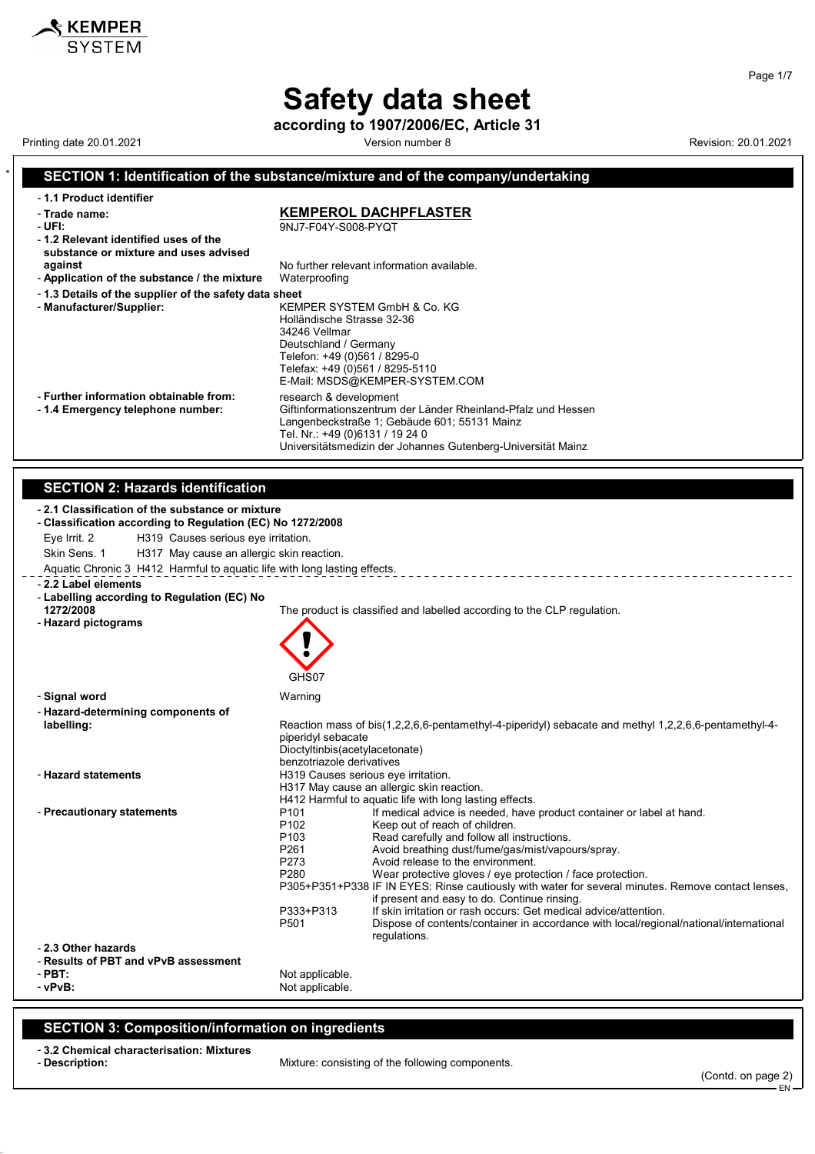# **Safety data sheet**

**according to 1907/2006/EC, Article 31**

Printing date 20.01.2021 **Version number 8** Version number 8 Revision: 20.01.2021

### **SECTION 1: Identification of the substance/mixture and of the company/undertaking**

| - 1.1 Product identifier                              |                                                               |
|-------------------------------------------------------|---------------------------------------------------------------|
| - Trade name:                                         | <b>KEMPEROL DACHPFLASTER</b>                                  |
| - UFI:                                                | 9NJ7-F04Y-S008-PYQT                                           |
| -1.2 Relevant identified uses of the                  |                                                               |
| substance or mixture and uses advised                 |                                                               |
| against                                               | No further relevant information available.                    |
| - Application of the substance / the mixture          | Waterproofing                                                 |
| -1.3 Details of the supplier of the safety data sheet |                                                               |
| - Manufacturer/Supplier:                              | KEMPER SYSTEM GmbH & Co. KG                                   |
|                                                       | Holländische Strasse 32-36                                    |
|                                                       | 34246 Vellmar                                                 |
|                                                       | Deutschland / Germany                                         |
|                                                       | Telefon: +49 (0)561 / 8295-0                                  |
|                                                       | Telefax: +49 (0)561 / 8295-5110                               |
|                                                       | E-Mail: MSDS@KEMPER-SYSTEM.COM                                |
| - Further information obtainable from:                | research & development                                        |
| -1.4 Emergency telephone number:                      | Giftinformationszentrum der Länder Rheinland-Pfalz und Hessen |
|                                                       | Langenbeckstraße 1; Gebäude 601; 55131 Mainz                  |
|                                                       | Tel. Nr.: +49 (0)6131 / 19 24 0                               |
|                                                       | Universitätsmedizin der Johannes Gutenberg-Universität Mainz  |

#### **SECTION 2: Hazards identification**

| Eye Irrit. 2<br>H319 Causes serious eye irritation.<br>Skin Sens. 1<br>H317 May cause an allergic skin reaction.<br>Aquatic Chronic 3 H412 Harmful to aquatic life with long lasting effects.<br>- 2.2 Label elements<br>- Labelling according to Regulation (EC) No<br>1272/2008<br>The product is classified and labelled according to the CLP regulation.<br>- Hazard pictograms | - 2.1 Classification of the substance or mixture<br>- Classification according to Regulation (EC) No 1272/2008 |  |  |  |
|-------------------------------------------------------------------------------------------------------------------------------------------------------------------------------------------------------------------------------------------------------------------------------------------------------------------------------------------------------------------------------------|----------------------------------------------------------------------------------------------------------------|--|--|--|
|                                                                                                                                                                                                                                                                                                                                                                                     |                                                                                                                |  |  |  |
|                                                                                                                                                                                                                                                                                                                                                                                     |                                                                                                                |  |  |  |
|                                                                                                                                                                                                                                                                                                                                                                                     |                                                                                                                |  |  |  |
|                                                                                                                                                                                                                                                                                                                                                                                     |                                                                                                                |  |  |  |
|                                                                                                                                                                                                                                                                                                                                                                                     |                                                                                                                |  |  |  |
|                                                                                                                                                                                                                                                                                                                                                                                     |                                                                                                                |  |  |  |
|                                                                                                                                                                                                                                                                                                                                                                                     |                                                                                                                |  |  |  |
|                                                                                                                                                                                                                                                                                                                                                                                     |                                                                                                                |  |  |  |
|                                                                                                                                                                                                                                                                                                                                                                                     |                                                                                                                |  |  |  |
| GHS07                                                                                                                                                                                                                                                                                                                                                                               |                                                                                                                |  |  |  |
| - Signal word<br>Warning                                                                                                                                                                                                                                                                                                                                                            |                                                                                                                |  |  |  |
| - Hazard-determining components of                                                                                                                                                                                                                                                                                                                                                  |                                                                                                                |  |  |  |
| Reaction mass of bis(1,2,2,6,6-pentamethyl-4-piperidyl) sebacate and methyl 1,2,2,6,6-pentamethyl-4-<br>labelling:                                                                                                                                                                                                                                                                  |                                                                                                                |  |  |  |
| piperidyl sebacate                                                                                                                                                                                                                                                                                                                                                                  |                                                                                                                |  |  |  |
| Dioctyltinbis(acetylacetonate)<br>benzotriazole derivatives                                                                                                                                                                                                                                                                                                                         |                                                                                                                |  |  |  |
| - Hazard statements<br>H319 Causes serious eye irritation.                                                                                                                                                                                                                                                                                                                          |                                                                                                                |  |  |  |
| H317 May cause an allergic skin reaction.                                                                                                                                                                                                                                                                                                                                           |                                                                                                                |  |  |  |
| H412 Harmful to aquatic life with long lasting effects.                                                                                                                                                                                                                                                                                                                             |                                                                                                                |  |  |  |
| If medical advice is needed, have product container or label at hand.<br>- Precautionary statements<br>P <sub>101</sub><br>P <sub>102</sub><br>Keep out of reach of children.                                                                                                                                                                                                       |                                                                                                                |  |  |  |
| Read carefully and follow all instructions.<br>P <sub>103</sub>                                                                                                                                                                                                                                                                                                                     |                                                                                                                |  |  |  |
| P261<br>Avoid breathing dust/fume/gas/mist/vapours/spray.                                                                                                                                                                                                                                                                                                                           |                                                                                                                |  |  |  |
| P273<br>Avoid release to the environment.                                                                                                                                                                                                                                                                                                                                           |                                                                                                                |  |  |  |
| P <sub>280</sub><br>Wear protective gloves / eye protection / face protection.                                                                                                                                                                                                                                                                                                      |                                                                                                                |  |  |  |
| P305+P351+P338 IF IN EYES: Rinse cautiously with water for several minutes. Remove contact lenses,<br>if present and easy to do. Continue rinsing.                                                                                                                                                                                                                                  |                                                                                                                |  |  |  |
| If skin irritation or rash occurs: Get medical advice/attention.<br>P333+P313                                                                                                                                                                                                                                                                                                       |                                                                                                                |  |  |  |
| P <sub>501</sub><br>Dispose of contents/container in accordance with local/regional/national/international                                                                                                                                                                                                                                                                          |                                                                                                                |  |  |  |
| regulations.                                                                                                                                                                                                                                                                                                                                                                        |                                                                                                                |  |  |  |
| - 2.3 Other hazards<br>- Results of PBT and vPvB assessment                                                                                                                                                                                                                                                                                                                         |                                                                                                                |  |  |  |
| $-$ PBT:<br>Not applicable.                                                                                                                                                                                                                                                                                                                                                         |                                                                                                                |  |  |  |
| - vPvB:<br>Not applicable.                                                                                                                                                                                                                                                                                                                                                          |                                                                                                                |  |  |  |
|                                                                                                                                                                                                                                                                                                                                                                                     |                                                                                                                |  |  |  |

### **SECTION 3: Composition/information on ingredients**

### - **3.2 Chemical characterisation: Mixtures**

Mixture: consisting of the following components.

Page 1/7

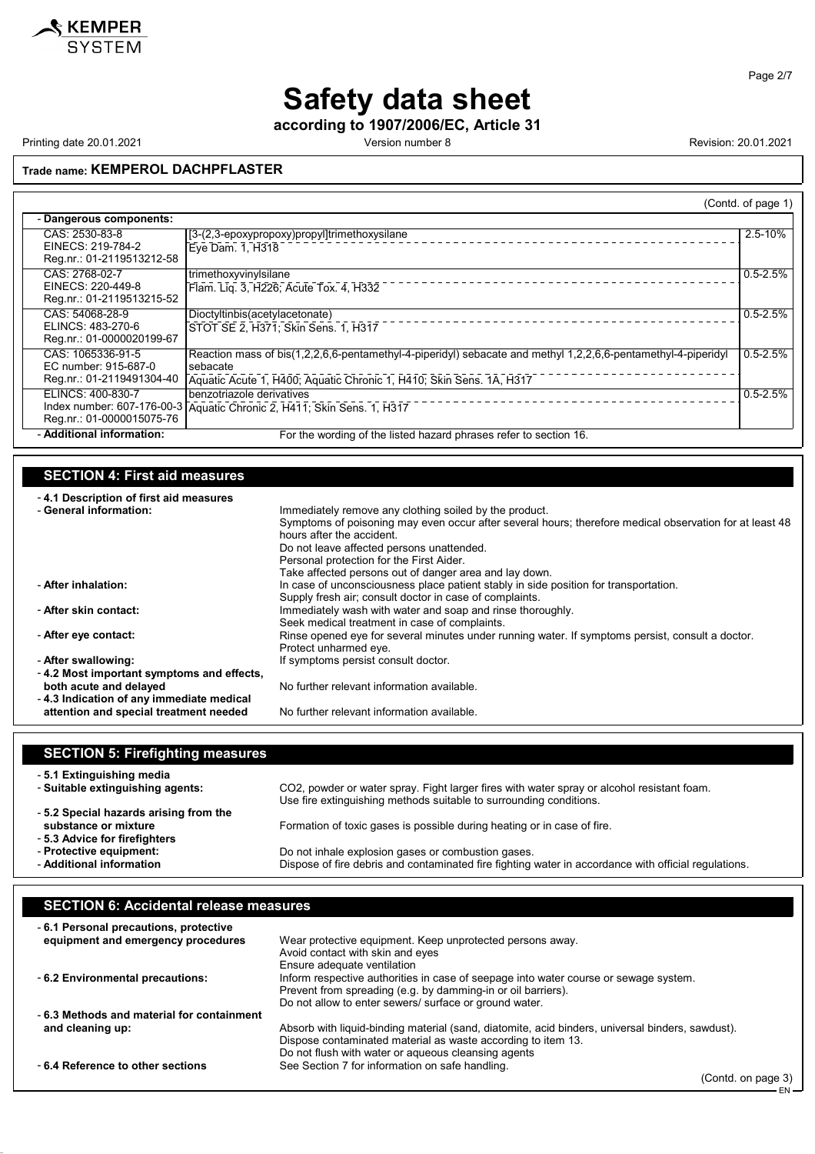

EN

## **Safety data sheet**

**according to 1907/2006/EC, Article 31**

Printing date 20.01.2021 **Version number 8** Version number 8 Revision: 20.01.2021

**Trade name: KEMPEROL DACHPFLASTER**

|                                                                                                                                                                                    |                                                                                                                                                                                                                                                                                                                                                   | (Contd. of page 1)                                                                                                                                |  |
|------------------------------------------------------------------------------------------------------------------------------------------------------------------------------------|---------------------------------------------------------------------------------------------------------------------------------------------------------------------------------------------------------------------------------------------------------------------------------------------------------------------------------------------------|---------------------------------------------------------------------------------------------------------------------------------------------------|--|
| - Dangerous components:                                                                                                                                                            |                                                                                                                                                                                                                                                                                                                                                   |                                                                                                                                                   |  |
| CAS: 2530-83-8<br>EINECS: 219-784-2<br>Reg.nr.: 01-2119513212-58                                                                                                                   | [3-(2,3-epoxypropoxy)propyl]trimethoxysilane<br>Eye Dam. 1, H318                                                                                                                                                                                                                                                                                  | $2.5 - 10%$                                                                                                                                       |  |
| CAS: 2768-02-7<br>EINECS: 220-449-8<br>Reg.nr.: 01-2119513215-52                                                                                                                   | trimethoxyvinylsilane<br>Flam. Liq. 3, H226; Acute Tox. 4, H332                                                                                                                                                                                                                                                                                   | $0.5 - 2.5%$                                                                                                                                      |  |
| CAS: 54068-28-9<br>ELINCS: 483-270-6<br>Reg.nr.: 01-0000020199-67                                                                                                                  | Dioctyltinbis(acetylacetonate)<br>STOT SE 2, H371; Skin Sens. 1, H317                                                                                                                                                                                                                                                                             | $0.5 - 2.5%$                                                                                                                                      |  |
| CAS: 1065336-91-5<br>EC number: 915-687-0<br>Reg.nr.: 01-2119491304-40                                                                                                             | Reaction mass of bis(1,2,2,6,6-pentamethyl-4-piperidyl) sebacate and methyl 1,2,2,6,6-pentamethyl-4-piperidyl<br>sebacate<br>Aquatic Acute 1, H400; Aquatic Chronic 1, H410; Skin Sens. 1A, H317                                                                                                                                                  | $0.5 - 2.5%$                                                                                                                                      |  |
| ELINCS: 400-830-7<br>Reg.nr.: 01-0000015075-76                                                                                                                                     | benzotriazole derivatives<br>Index number: 607-176-00-3 Aquatic Chronic 2, H411; Skin Sens. 1, H317                                                                                                                                                                                                                                               | $0.5 - 2.5%$                                                                                                                                      |  |
| - Additional information:                                                                                                                                                          | For the wording of the listed hazard phrases refer to section 16.                                                                                                                                                                                                                                                                                 |                                                                                                                                                   |  |
| <b>SECTION 4: First aid measures</b><br>-4.1 Description of first aid measures<br>- General information:                                                                           | Immediately remove any clothing soiled by the product.<br>Symptoms of poisoning may even occur after several hours; therefore medical observation for at least 48<br>hours after the accident.<br>Do not leave affected persons unattended.<br>Personal protection for the First Aider.<br>Take affected persons out of danger area and lay down. |                                                                                                                                                   |  |
| - After inhalation:<br>- After skin contact:                                                                                                                                       | In case of unconsciousness place patient stably in side position for transportation.<br>Supply fresh air; consult doctor in case of complaints.<br>Immediately wash with water and soap and rinse thoroughly.                                                                                                                                     |                                                                                                                                                   |  |
| - After eye contact:                                                                                                                                                               | Protect unharmed eye.                                                                                                                                                                                                                                                                                                                             | Seek medical treatment in case of complaints.<br>Rinse opened eye for several minutes under running water. If symptoms persist, consult a doctor. |  |
| - After swallowing:<br>- 4.2 Most important symptoms and effects,<br>both acute and delayed<br>- 4.3 Indication of any immediate medical<br>attention and special treatment needed | If symptoms persist consult doctor.<br>No further relevant information available.<br>No further relevant information available.                                                                                                                                                                                                                   |                                                                                                                                                   |  |
| <b>SECTION 5: Firefighting measures</b>                                                                                                                                            |                                                                                                                                                                                                                                                                                                                                                   |                                                                                                                                                   |  |

| - 5.1 Extinguishing media                                                                     | CO2, powder or water spray. Fight larger fires with water spray or alcohol resistant foam.           |
|-----------------------------------------------------------------------------------------------|------------------------------------------------------------------------------------------------------|
| - Suitable extinguishing agents:                                                              | Use fire extinguishing methods suitable to surrounding conditions.                                   |
| -5.2 Special hazards arising from the<br>substance or mixture<br>-5.3 Advice for firefighters | Formation of toxic gases is possible during heating or in case of fire.                              |
| - Protective equipment:                                                                       | Do not inhale explosion gases or combustion gases.                                                   |
| - Additional information                                                                      | Dispose of fire debris and contaminated fire fighting water in accordance with official regulations. |

#### **SECTION 6: Accidental release measures** - **6.1 Personal precautions, protective equipment and emergency procedures** Wear protective equipment. Keep unprotected persons away. Avoid contact with skin and eyes Ensure adequate ventilation - **6.2 Environmental precautions:** Inform respective authorities in case of seepage into water course or sewage system. Prevent from spreading (e.g. by damming-in or oil barriers). Do not allow to enter sewers/ surface or ground water. - **6.3 Methods and material for containment** Absorb with liquid-binding material (sand, diatomite, acid binders, universal binders, sawdust). Dispose contaminated material as waste according to item 13. Do not flush with water or aqueous cleansing agents - **6.4 Reference to other sections** See Section 7 for information on safe handling. (Contd. on page 3)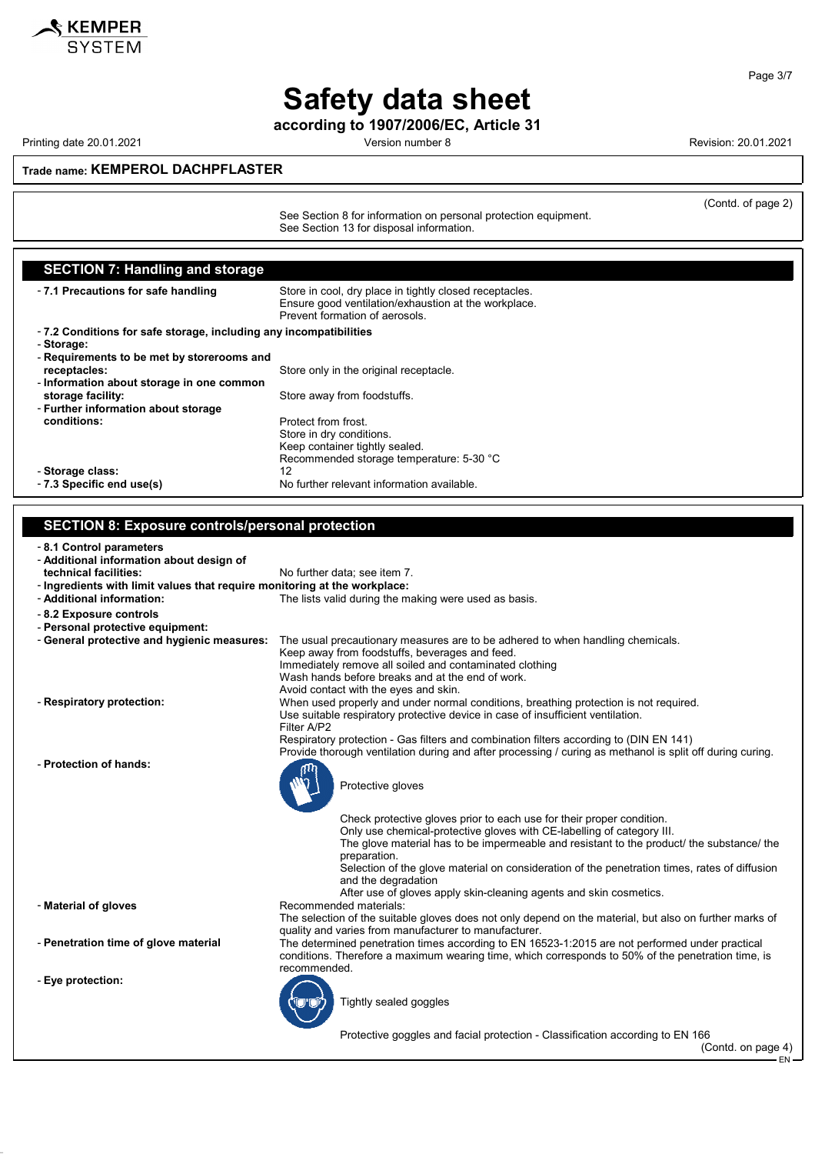

# **Safety data sheet**

**according to 1907/2006/EC, Article 31**

Printing date 20.01.2021 **Version number 8 Revision: 20.01.2021** Revision: 20.01.2021

(Contd. of page 2)

**Trade name: KEMPEROL DACHPFLASTER**

See Section 8 for information on personal protection equipment. See Section 13 for disposal information.

**SECTION 7: Handling and storage** - **7.1 Precautions for safe handling** Store in cool, dry place in tightly closed receptacles. Ensure good ventilation/exhaustion at the workplace. Prevent formation of aerosols. - **7.2 Conditions for safe storage, including any incompatibilities** - **Storage:** - **Requirements to be met by storerooms and** Store only in the original receptacle. - **Information about storage in one common storage facility:** The storage facility: - **Further information about storage conditions:** Protect from frost. Store in dry conditions. Keep container tightly sealed. Recommended storage temperature: 5-30 °C - **Storage class:** 12 - **7.3 Specific end use(s)** No further relevant information available.

#### **SECTION 8: Exposure controls/personal protection**

- **8.1 Control parameters**

- **Additional information about design of**
- No further data; see item 7.
- **Ingredients with limit values that require monitoring at the workplace:** - **Additional information:** The lists valid during the making were used as basis.
- **8.2 Exposure controls**
- **Personal protective equipment:**
- **General protective and hygienic measures:** The usual precautionary measures are to be adhered to when handling chemicals.
- 
- **Protection of hands:**



Protective goggles and facial protection - Classification according to EN 166

(Contd. on page 4)

EN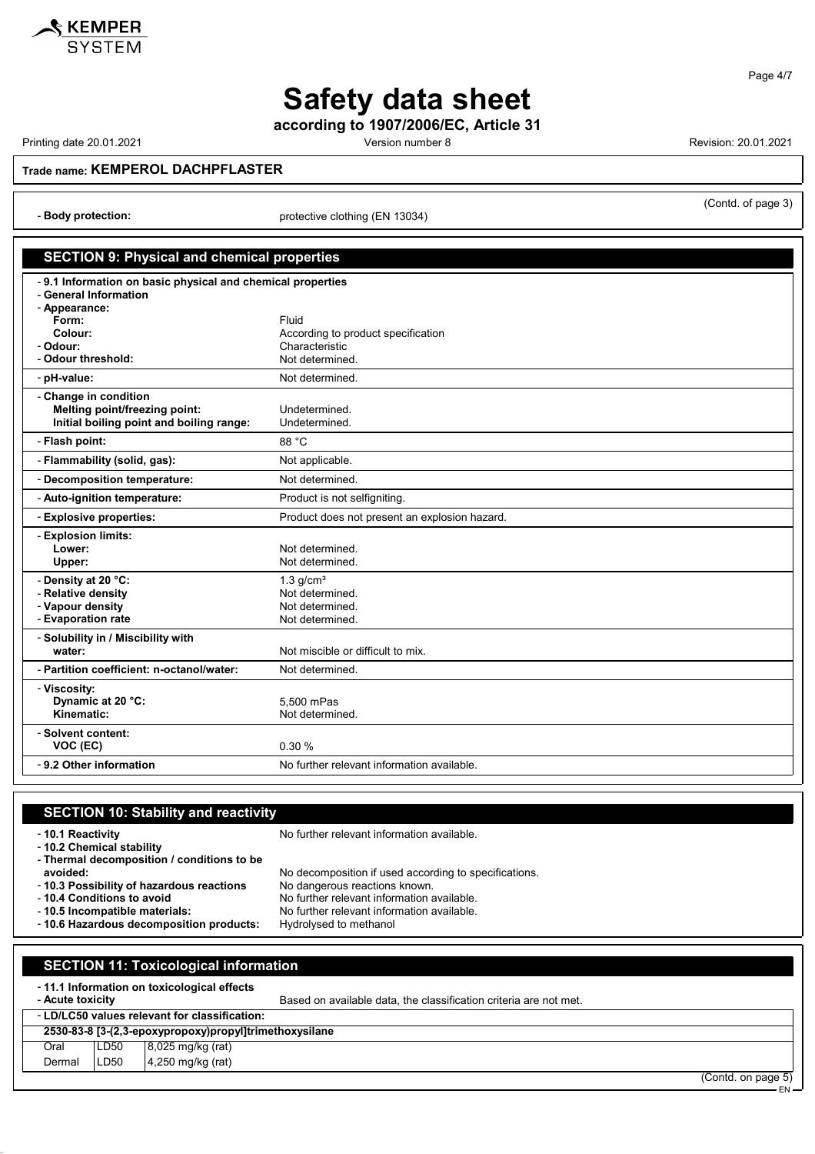

**Safety data sheet**

**according to 1907/2006/EC, Article 31**

Printing date 20.01.2021 **Version number 8** Version number 8 Revision: 20.01.2021

(Contd. of page 3)

**Trade name: KEMPEROL DACHPFLASTER**

- **Body protection:** protective clothing (EN 13034)

#### **SECTION 9: Physical and chemical properties**

| -9.1 Information on basic physical and chemical properties |                                                      |  |
|------------------------------------------------------------|------------------------------------------------------|--|
| - General Information                                      |                                                      |  |
| - Appearance:                                              |                                                      |  |
| Form:<br>Colour:                                           | Fluid                                                |  |
| - Odour:                                                   | According to product specification<br>Characteristic |  |
| - Odour threshold:                                         | Not determined.                                      |  |
| - pH-value:                                                | Not determined.                                      |  |
| - Change in condition                                      |                                                      |  |
| Melting point/freezing point:                              | Undetermined.                                        |  |
| Initial boiling point and boiling range:                   | Undetermined.                                        |  |
| - Flash point:                                             | 88 °C                                                |  |
| - Flammability (solid, gas):                               | Not applicable.                                      |  |
| - Decomposition temperature:                               | Not determined.                                      |  |
| - Auto-ignition temperature:                               | Product is not selfigniting.                         |  |
| - Explosive properties:                                    | Product does not present an explosion hazard.        |  |
| - Explosion limits:                                        |                                                      |  |
| Lower:                                                     | Not determined.                                      |  |
| Upper:                                                     | Not determined.                                      |  |
| - Density at 20 °C:                                        | $1.3$ g/cm <sup>3</sup>                              |  |
| - Relative density                                         | Not determined.                                      |  |
| - Vapour density                                           | Not determined.                                      |  |
| - Evaporation rate                                         | Not determined.                                      |  |
| - Solubility in / Miscibility with                         |                                                      |  |
| water:                                                     | Not miscible or difficult to mix.                    |  |
| - Partition coefficient: n-octanol/water:                  | Not determined.                                      |  |
| - Viscosity:                                               |                                                      |  |
| Dynamic at 20 °C:                                          | 5.500 mPas                                           |  |
| Kinematic:                                                 | Not determined.                                      |  |
| - Solvent content:                                         |                                                      |  |
| VOC (EC)                                                   | 0.30%                                                |  |
| - 9.2 Other information                                    | No further relevant information available.           |  |

### **SECTION 10: Stability and reactivity** - **10.1 Reactivity 10.1 Reactivity 10.1 Reactivity 10.1 Reactivity 10.1** Reactivity - **10.2 Chemical stability** - **Thermal decomposition / conditions to be avoided:** No decomposition if used according to specifications.<br>10.3 Possibility of hazardous reactions No dangerous reactions known. - 10.3 Possibility of hazardous reactions<br>- 10.4 Conditions to avoid - **10.4 Conditions to avoid**<br> **10.5 Incompatible materials:** No further relevant information available.<br>
No further relevant information available. No further relevant information available.<br>Hydrolysed to methanol - **10.6 Hazardous decomposition products: SECTION 11: Toxicological information** - **11.1 Information on toxicological effects** Based on available data, the classification criteria are not met. - **LD/LC50 values relevant for classification: 2530-83-8 [3-(2,3-epoxypropoxy)propyl]trimethoxysilane**

Oral | LD50 | 8,025 mg/kg (rat) Dermal LD50 4,250 mg/kg (rat)

(Contd. on page 5) EN

Page 4/7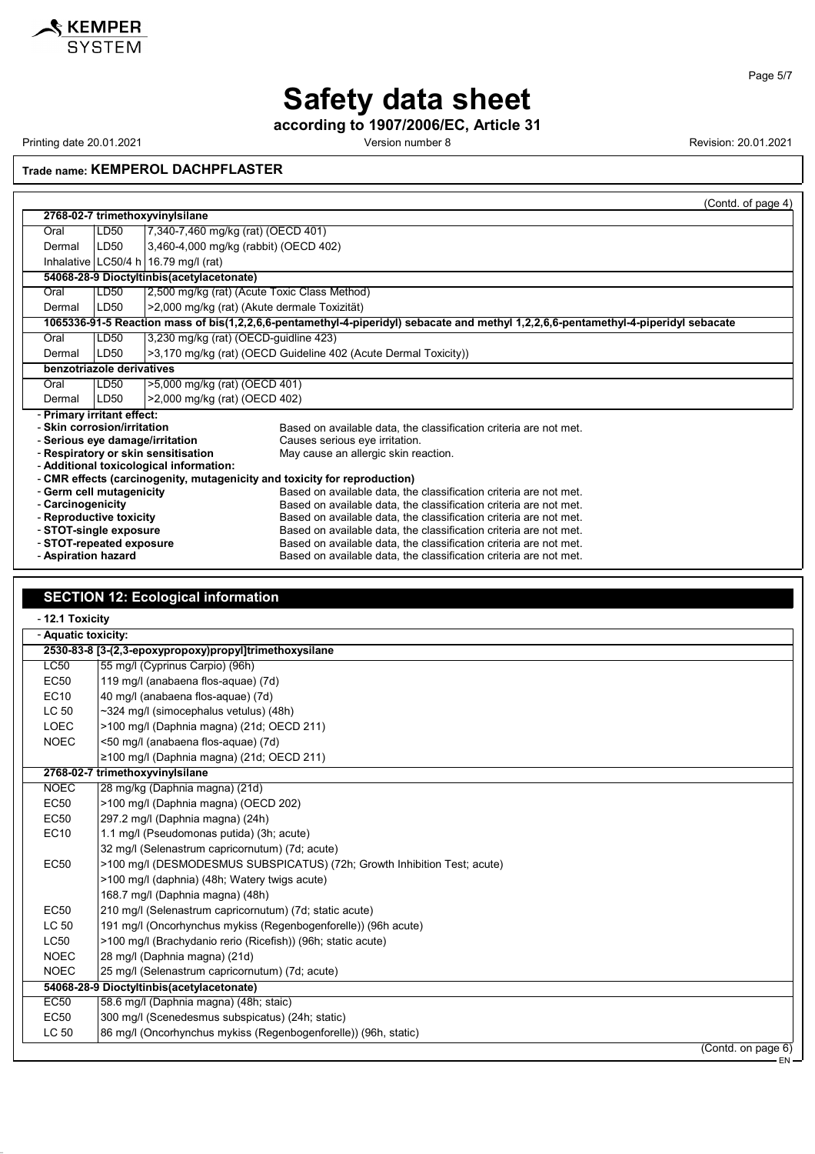

Page 5/7

EN

### **Safety data sheet**

**according to 1907/2006/EC, Article 31**

Printing date 20.01.2021 **Printing date 20.01.2021** Version number 8 Revision: 20.01.2021

**Trade name: KEMPEROL DACHPFLASTER**

|                                 |                                                                           |                                              | (Contd. of page 4)                                                                                                                  |
|---------------------------------|---------------------------------------------------------------------------|----------------------------------------------|-------------------------------------------------------------------------------------------------------------------------------------|
|                                 | 2768-02-7 trimethoxyvinylsilane                                           |                                              |                                                                                                                                     |
| Oral                            | LD50                                                                      | 7,340-7,460 mg/kg (rat) (OECD 401)           |                                                                                                                                     |
| Dermal                          | LD50                                                                      | 3,460-4,000 mg/kg (rabbit) (OECD 402)        |                                                                                                                                     |
|                                 |                                                                           | Inhalative $ LC50/4 h $ 16.79 mg/l (rat)     |                                                                                                                                     |
|                                 |                                                                           | 54068-28-9 Dioctyltinbis(acetylacetonate)    |                                                                                                                                     |
| Oral                            | LD50                                                                      | 2,500 mg/kg (rat) (Acute Toxic Class Method) |                                                                                                                                     |
| Dermal                          | LD50                                                                      | >2,000 mg/kg (rat) (Akute dermale Toxizität) |                                                                                                                                     |
|                                 |                                                                           |                                              | 1065336-91-5 Reaction mass of bis(1,2,2,6,6-pentamethyl-4-piperidyl) sebacate and methyl 1,2,2,6,6-pentamethyl-4-piperidyl sebacate |
| Oral                            | LD50                                                                      | 3,230 mg/kg (rat) (OECD-guidline 423)        |                                                                                                                                     |
| Dermal                          | LD50                                                                      |                                              | >3,170 mg/kg (rat) (OECD Guideline 402 (Acute Dermal Toxicity))                                                                     |
| benzotriazole derivatives       |                                                                           |                                              |                                                                                                                                     |
| Oral                            | LD50                                                                      | >5,000 mg/kg (rat) (OECD 401)                |                                                                                                                                     |
| Dermal                          | >2,000 mg/kg (rat) (OECD 402)<br>LD <sub>50</sub>                         |                                              |                                                                                                                                     |
| - Primary irritant effect:      |                                                                           |                                              |                                                                                                                                     |
| - Skin corrosion/irritation     |                                                                           |                                              | Based on available data, the classification criteria are not met.                                                                   |
| - Serious eye damage/irritation |                                                                           |                                              | Causes serious eye irritation.                                                                                                      |
|                                 |                                                                           | - Respiratory or skin sensitisation          | May cause an allergic skin reaction.                                                                                                |
|                                 | - Additional toxicological information:                                   |                                              |                                                                                                                                     |
|                                 | - CMR effects (carcinogenity, mutagenicity and toxicity for reproduction) |                                              |                                                                                                                                     |
| - Germ cell mutagenicity        |                                                                           |                                              | Based on available data, the classification criteria are not met.                                                                   |
| - Carcinogenicity               |                                                                           |                                              | Based on available data, the classification criteria are not met.                                                                   |
|                                 | - Reproductive toxicity                                                   |                                              | Based on available data, the classification criteria are not met.                                                                   |
|                                 | - STOT-single exposure                                                    |                                              | Based on available data, the classification criteria are not met.                                                                   |
| - STOT-repeated exposure        |                                                                           |                                              | Based on available data, the classification criteria are not met.                                                                   |
| - Aspiration hazard             |                                                                           |                                              | Based on available data, the classification criteria are not met.                                                                   |

### **SECTION 12: Ecological information**

| - 12.1 Toxicity     |                                                                          |
|---------------------|--------------------------------------------------------------------------|
| - Aquatic toxicity: |                                                                          |
|                     | 2530-83-8 [3-(2,3-epoxypropoxy)propyl]trimethoxysilane                   |
| LC50                | 55 mg/l (Cyprinus Carpio) (96h)                                          |
| <b>EC50</b>         | 119 mg/l (anabaena flos-aquae) (7d)                                      |
| EC10                | 40 mg/l (anabaena flos-aquae) (7d)                                       |
| LC 50               | ~324 mg/l (simocephalus vetulus) (48h)                                   |
| <b>LOEC</b>         | >100 mg/l (Daphnia magna) (21d; OECD 211)                                |
| <b>NOEC</b>         | <50 mg/l (anabaena flos-aquae) (7d)                                      |
|                     | ≥100 mg/l (Daphnia magna) (21d; OECD 211)                                |
|                     | 2768-02-7 trimethoxyvinylsilane                                          |
| <b>NOEC</b>         | 28 mg/kg (Daphnia magna) (21d)                                           |
| EC50                | >100 mg/l (Daphnia magna) (OECD 202)                                     |
| <b>EC50</b>         | 297.2 mg/l (Daphnia magna) (24h)                                         |
| <b>EC10</b>         | 1.1 mg/l (Pseudomonas putida) (3h; acute)                                |
|                     | 32 mg/l (Selenastrum capricornutum) (7d; acute)                          |
| <b>EC50</b>         | >100 mg/l (DESMODESMUS SUBSPICATUS) (72h; Growth Inhibition Test; acute) |
|                     | >100 mg/l (daphnia) (48h; Watery twigs acute)                            |
|                     | 168.7 mg/l (Daphnia magna) (48h)                                         |
| <b>EC50</b>         | 210 mg/l (Selenastrum capricornutum) (7d; static acute)                  |
| LC 50               | 191 mg/l (Oncorhynchus mykiss (Regenbogenforelle)) (96h acute)           |
| <b>LC50</b>         | >100 mg/l (Brachydanio rerio (Ricefish)) (96h; static acute)             |
| <b>NOEC</b>         | 28 mg/l (Daphnia magna) (21d)                                            |
| <b>NOEC</b>         | 25 mg/l (Selenastrum capricornutum) (7d; acute)                          |
|                     | 54068-28-9 Dioctyltinbis(acetylacetonate)                                |
| EC50                | 58.6 mg/l (Daphnia magna) (48h; staic)                                   |
| <b>EC50</b>         | 300 mg/l (Scenedesmus subspicatus) (24h; static)                         |
| LC 50               | 86 mg/l (Oncorhynchus mykiss (Regenbogenforelle)) (96h, static)          |
|                     | (Contd. on page 6)                                                       |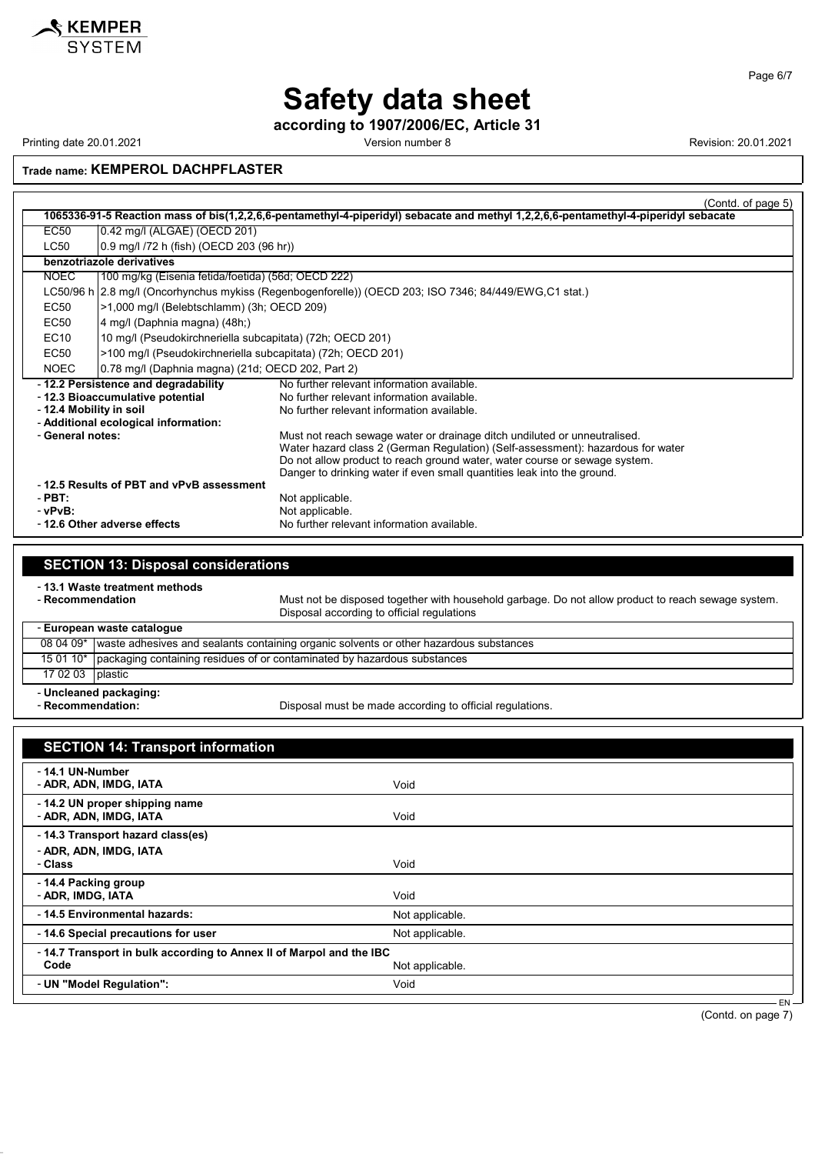

**according to 1907/2006/EC, Article 31**

Printing date 20.01.2021 **Version number 8** Version number 8 Revision: 20.01.2021

KEMPER **SYSTEM** 

**Trade name: KEMPEROL DACHPFLASTER**

|                                      |                                                             | (Contd. of page 5)                                                                                                                  |
|--------------------------------------|-------------------------------------------------------------|-------------------------------------------------------------------------------------------------------------------------------------|
|                                      |                                                             | 1065336-91-5 Reaction mass of bis(1,2,2,6,6-pentamethyl-4-piperidyl) sebacate and methyl 1,2,2,6,6-pentamethyl-4-piperidyl sebacate |
| EC50                                 | 0.42 mg/l (ALGAE) (OECD 201)                                |                                                                                                                                     |
| <b>LC50</b>                          | 0.9 mg/l /72 h (fish) (OECD 203 (96 hr))                    |                                                                                                                                     |
|                                      | benzotriazole derivatives                                   |                                                                                                                                     |
| <b>NOEC</b>                          | 100 mg/kg (Eisenia fetida/foetida) (56d; OECD 222)          |                                                                                                                                     |
|                                      |                                                             | LC50/96 h 2.8 mg/l (Oncorhynchus mykiss (Regenbogenforelle)) (OECD 203; ISO 7346; 84/449/EWG,C1 stat.)                              |
| EC50                                 | >1,000 mg/l (Belebtschlamm) (3h; OECD 209)                  |                                                                                                                                     |
| EC50                                 | 4 mg/l (Daphnia magna) (48h;)                               |                                                                                                                                     |
| EC10                                 | 10 mg/l (Pseudokirchneriella subcapitata) (72h; OECD 201)   |                                                                                                                                     |
| EC50                                 | >100 mg/l (Pseudokirchneriella subcapitata) (72h; OECD 201) |                                                                                                                                     |
| <b>NOEC</b>                          | 0.78 mg/l (Daphnia magna) (21d; OECD 202, Part 2)           |                                                                                                                                     |
|                                      | -12.2 Persistence and degradability                         | No further relevant information available                                                                                           |
|                                      | - 12.3 Bioaccumulative potential                            | No further relevant information available.                                                                                          |
|                                      | - 12.4 Mobility in soil                                     | No further relevant information available.                                                                                          |
| - Additional ecological information: |                                                             |                                                                                                                                     |
| - General notes:                     |                                                             | Must not reach sewage water or drainage ditch undiluted or unneutralised.                                                           |
|                                      |                                                             | Water hazard class 2 (German Regulation) (Self-assessment): hazardous for water                                                     |
|                                      |                                                             | Do not allow product to reach ground water, water course or sewage system.                                                          |
|                                      |                                                             | Danger to drinking water if even small quantities leak into the ground.                                                             |
|                                      | -12.5 Results of PBT and vPvB assessment                    |                                                                                                                                     |
| $-$ PBT:                             |                                                             | Not applicable.                                                                                                                     |
| - vPvB:                              |                                                             | Not applicable.                                                                                                                     |
|                                      | -12.6 Other adverse effects                                 | No further relevant information available.                                                                                          |

### **SECTION 13: Disposal considerations**

- **13.1 Waste treatment methods**

Must not be disposed together with household garbage. Do not allow product to reach sewage system. Disposal according to official regulations

- **European waste catalogue**  $\Gamma$ 

|                        | ταινρσαιι wasic calaivyuc                                                                          |
|------------------------|----------------------------------------------------------------------------------------------------|
|                        | 08 04 09*   waste adhesives and sealants containing organic solvents or other hazardous substances |
|                        | 15 01 10*   packaging containing residues of or contaminated by hazardous substances               |
| 17 02 03   plastic     |                                                                                                    |
| - Uncleaned packaging: |                                                                                                    |

- Recommendation:

Disposal must be made according to official regulations.

| <b>SECTION 14: Transport information</b>                                    |                 |
|-----------------------------------------------------------------------------|-----------------|
| - 14.1 UN-Number<br>- ADR, ADN, IMDG, IATA                                  | Void            |
| - 14.2 UN proper shipping name<br>- ADR, ADN, IMDG, IATA                    | Void            |
| - 14.3 Transport hazard class(es)<br>- ADR, ADN, IMDG, IATA<br>- Class      | Void            |
| - 14.4 Packing group<br>- ADR, IMDG, IATA                                   | Void            |
| - 14.5 Environmental hazards:                                               | Not applicable. |
| - 14.6 Special precautions for user                                         | Not applicable. |
| -14.7 Transport in bulk according to Annex II of Marpol and the IBC<br>Code | Not applicable. |
| - UN "Model Regulation":                                                    | Void            |

(Contd. on page 7)

EN